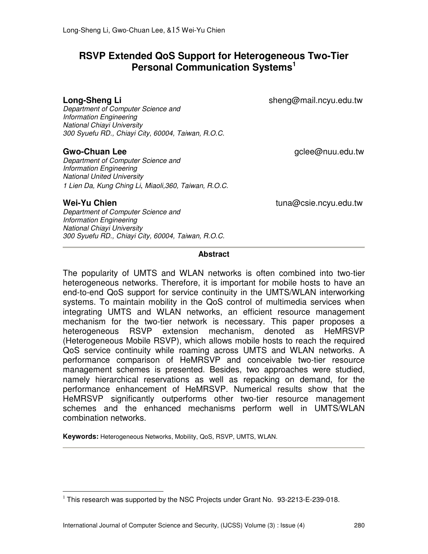# **RSVP Extended QoS Support for Heterogeneous Two-Tier Personal Communication Systems<sup>1</sup>**

**Long-Sheng Li Sheng@mail.ncyu.edu.tw sheng@mail.ncyu.edu.tw** 

Department of Computer Science and Information Engineering National Chiayi University 300 Syuefu RD., Chiayi City, 60004, Taiwan, R.O.C.

**Gwo-Chuan Lee Guide Contract Contract Contract Contract Contract Contract Contract Contract Contract Contract Contract Contract Contract Contract Contract Contract Contract Contract Contract Contract Contract Contract C** 

Department of Computer Science and Information Engineering National United University 1 Lien Da, Kung Ching Li, Miaoli,360, Taiwan, R.O.C.

l

**Wei-Yu Chien** tuna@csie.ncyu.edu.tw

Department of Computer Science and Information Engineering National Chiayi University 300 Syuefu RD., Chiayi City, 60004, Taiwan, R.O.C.

## **Abstract**

The popularity of UMTS and WLAN networks is often combined into two-tier heterogeneous networks. Therefore, it is important for mobile hosts to have an end-to-end QoS support for service continuity in the UMTS/WLAN interworking systems. To maintain mobility in the QoS control of multimedia services when integrating UMTS and WLAN networks, an efficient resource management mechanism for the two-tier network is necessary. This paper proposes a heterogeneous RSVP extension mechanism, denoted as HeMRSVP (Heterogeneous Mobile RSVP), which allows mobile hosts to reach the required QoS service continuity while roaming across UMTS and WLAN networks. A performance comparison of HeMRSVP and conceivable two-tier resource management schemes is presented. Besides, two approaches were studied, namely hierarchical reservations as well as repacking on demand, for the performance enhancement of HeMRSVP. Numerical results show that the HeMRSVP significantly outperforms other two-tier resource management schemes and the enhanced mechanisms perform well in UMTS/WLAN combination networks.

**Keywords:** Heterogeneous Networks, Mobility, QoS, RSVP, UMTS, WLAN.

 $1$  This research was supported by the NSC Projects under Grant No. 93-2213-E-239-018.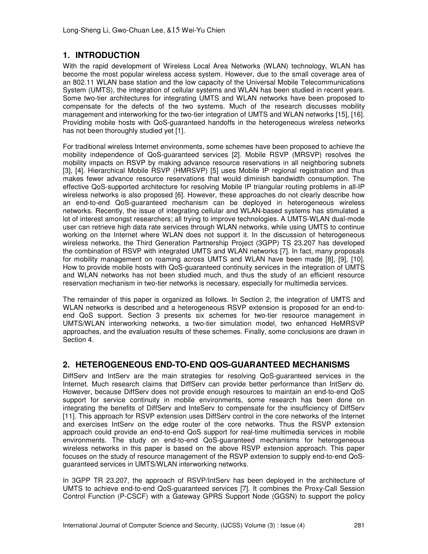# **1. INTRODUCTION**

With the rapid development of Wireless Local Area Networks (WLAN) technology, WLAN has become the most popular wireless access system. However, due to the small coverage area of an 802.11 WLAN base station and the low capacity of the Universal Mobile Telecommunications System (UMTS), the integration of cellular systems and WLAN has been studied in recent years. Some two-tier architectures for integrating UMTS and WLAN networks have been proposed to compensate for the defects of the two systems. Much of the research discusses mobility management and interworking for the two-tier integration of UMTS and WLAN networks [15], [16]. Providing mobile hosts with QoS-guaranteed handoffs in the heterogeneous wireless networks has not been thoroughly studied yet [1].

For traditional wireless Internet environments, some schemes have been proposed to achieve the mobility independence of QoS-guaranteed services [2]. Mobile RSVP (MRSVP) resolves the mobility impacts on RSVP by making advance resource reservations in all neighboring subnets [3], [4]. Hierarchical Mobile RSVP (HMRSVP) [5] uses Mobile IP regional registration and thus makes fewer advance resource reservations that would diminish bandwidth consumption. The effective QoS-supported architecture for resolving Mobile IP triangular routing problems in all-IP wireless networks is also proposed [6]. However, these approaches do not clearly describe how an end-to-end QoS-guaranteed mechanism can be deployed in heterogeneous wireless networks. Recently, the issue of integrating cellular and WLAN-based systems has stimulated a lot of interest amongst researchers; all trying to improve technologies. A UMTS-WLAN dual-mode user can retrieve high data rate services through WLAN networks, while using UMTS to continue working on the Internet where WLAN does not support it. In the discussion of heterogeneous wireless networks, the Third Generation Partnership Project (3GPP) TS 23.207 has developed the combination of RSVP with integrated UMTS and WLAN networks [7]. In fact, many proposals for mobility management on roaming across UMTS and WLAN have been made [8], [9], [10]. How to provide mobile hosts with QoS-guaranteed continuity services in the integration of UMTS and WLAN networks has not been studied much, and thus the study of an efficient resource reservation mechanism in two-tier networks is necessary, especially for multimedia services.

The remainder of this paper is organized as follows. In Section 2, the integration of UMTS and WLAN networks is described and a heterogeneous RSVP extension is proposed for an end-toend QoS support. Section 3 presents six schemes for two-tier resource management in UMTS/WLAN interworking networks, a two-tier simulation model, two enhanced HeMRSVP approaches, and the evaluation results of these schemes. Finally, some conclusions are drawn in Section 4.

# **2. HETEROGENEOUS END-TO-END QOS-GUARANTEED MECHANISMS**

DiffServ and IntServ are the main strategies for resolving QoS-guaranteed services in the Internet. Much research claims that DiffServ can provide better performance than IntServ do. However, because DiffServ does not provide enough resources to maintain an end-to-end QoS support for service continuity in mobile environments, some research has been done on integrating the benefits of DiffServ and InteServ to compensate for the insufficiency of DiffServ [11]. This approach for RSVP extension uses DiffServ control in the core networks of the Internet and exercises IntServ on the edge router of the core networks. Thus the RSVP extension approach could provide an end-to-end QoS support for real-time multimedia services in mobile environments. The study on end-to-end QoS-guaranteed mechanisms for heterogeneous wireless networks in this paper is based on the above RSVP extension approach. This paper focuses on the study of resource management of the RSVP extension to supply end-to-end QoSguaranteed services in UMTS/WLAN interworking networks.

In 3GPP TR 23.207, the approach of RSVP/IntServ has been deployed in the architecture of UMTS to achieve end-to-end QoS-guaranteed services [7]. It combines the Proxy-Call Session Control Function (P-CSCF) with a Gateway GPRS Support Node (GGSN) to support the policy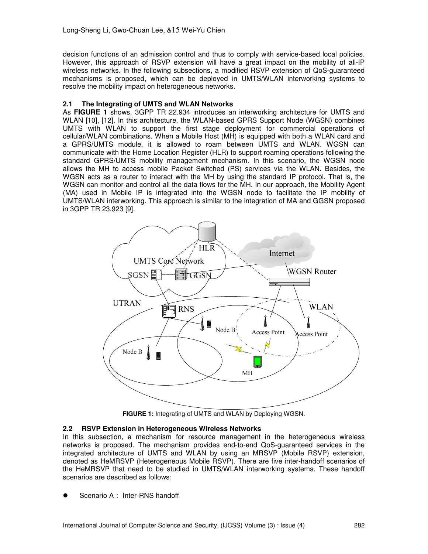decision functions of an admission control and thus to comply with service-based local policies. However, this approach of RSVP extension will have a great impact on the mobility of all-IP wireless networks. In the following subsections, a modified RSVP extension of QoS-guaranteed mechanisms is proposed, which can be deployed in UMTS/WLAN interworking systems to resolve the mobility impact on heterogeneous networks.

## **2.1 The Integrating of UMTS and WLAN Networks**

As **FIGURE 1** shows, 3GPP TR 22.934 introduces an interworking architecture for UMTS and WLAN [10], [12]. In this architecture, the WLAN-based GPRS Support Node (WGSN) combines UMTS with WLAN to support the first stage deployment for commercial operations of cellular/WLAN combinations. When a Mobile Host (MH) is equipped with both a WLAN card and a GPRS/UMTS module, it is allowed to roam between UMTS and WLAN. WGSN can communicate with the Home Location Register (HLR) to support roaming operations following the standard GPRS/UMTS mobility management mechanism. In this scenario, the WGSN node allows the MH to access mobile Packet Switched (PS) services via the WLAN. Besides, the WGSN acts as a router to interact with the MH by using the standard IP protocol. That is, the WGSN can monitor and control all the data flows for the MH. In our approach, the Mobility Agent (MA) used in Mobile IP is integrated into the WGSN node to facilitate the IP mobility of UMTS/WLAN interworking. This approach is similar to the integration of MA and GGSN proposed in 3GPP TR 23.923 [9].



**FIGURE 1:** Integrating of UMTS and WLAN by Deploying WGSN.

## **2.2 RSVP Extension in Heterogeneous Wireless Networks**

In this subsection, a mechanism for resource management in the heterogeneous wireless networks is proposed. The mechanism provides end-to-end QoS-guaranteed services in the integrated architecture of UMTS and WLAN by using an MRSVP (Mobile RSVP) extension, denoted as HeMRSVP (Heterogeneous Mobile RSVP). There are five inter-handoff scenarios of the HeMRSVP that need to be studied in UMTS/WLAN interworking systems. These handoff scenarios are described as follows:

Scenario A: Inter-RNS handoff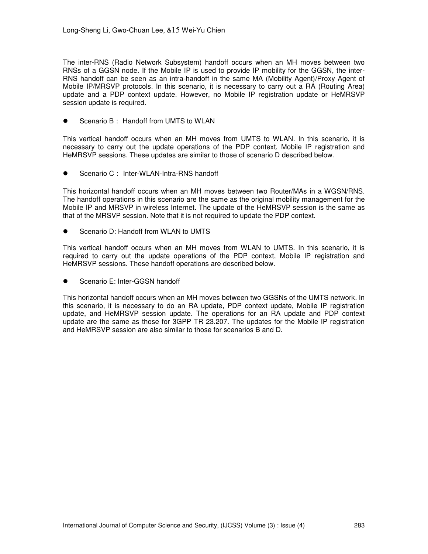The inter-RNS (Radio Network Subsystem) handoff occurs when an MH moves between two RNSs of a GGSN node. If the Mobile IP is used to provide IP mobility for the GGSN, the inter-RNS handoff can be seen as an intra-handoff in the same MA (Mobility Agent)/Proxy Agent of Mobile IP/MRSVP protocols. In this scenario, it is necessary to carry out a RA (Routing Area) update and a PDP context update. However, no Mobile IP registration update or HeMRSVP session update is required.

Scenario B: Handoff from UMTS to WLAN

This vertical handoff occurs when an MH moves from UMTS to WLAN. In this scenario, it is necessary to carry out the update operations of the PDP context, Mobile IP registration and HeMRSVP sessions. These updates are similar to those of scenario D described below.

Scenario C: Inter-WLAN-Intra-RNS handoff

This horizontal handoff occurs when an MH moves between two Router/MAs in a WGSN/RNS. The handoff operations in this scenario are the same as the original mobility management for the Mobile IP and MRSVP in wireless Internet. The update of the HeMRSVP session is the same as that of the MRSVP session. Note that it is not required to update the PDP context.

Scenario D: Handoff from WLAN to UMTS

This vertical handoff occurs when an MH moves from WLAN to UMTS. In this scenario, it is required to carry out the update operations of the PDP context, Mobile IP registration and HeMRSVP sessions. These handoff operations are described below.

Scenario E: Inter-GGSN handoff

This horizontal handoff occurs when an MH moves between two GGSNs of the UMTS network. In this scenario, it is necessary to do an RA update, PDP context update, Mobile IP registration update, and HeMRSVP session update. The operations for an RA update and PDP context update are the same as those for 3GPP TR 23.207. The updates for the Mobile IP registration and HeMRSVP session are also similar to those for scenarios B and D.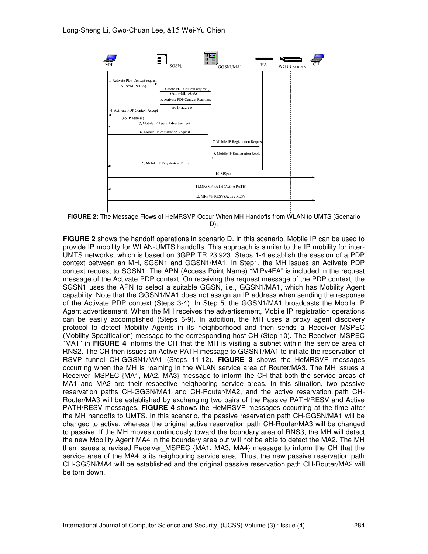

**FIGURE 2:** The Message Flows of HeMRSVP Occur When MH Handoffs from WLAN to UMTS (Scenario D).

**FIGURE 2** shows the handoff operations in scenario D. In this scenario, Mobile IP can be used to provide IP mobility for WLAN-UMTS handoffs. This approach is similar to the IP mobility for inter-UMTS networks, which is based on 3GPP TR 23.923. Steps 1-4 establish the session of a PDP context between an MH, SGSN1 and GGSN1/MA1. In Step1, the MH issues an Activate PDP context request to SGSN1. The APN (Access Point Name) "MIPv4FA" is included in the request message of the Activate PDP context. On receiving the request message of the PDP context, the SGSN1 uses the APN to select a suitable GGSN, i.e., GGSN1/MA1, which has Mobility Agent capability. Note that the GGSN1/MA1 does not assign an IP address when sending the response of the Activate PDP context (Steps 3-4). In Step 5, the GGSN1/MA1 broadcasts the Mobile IP Agent advertisement. When the MH receives the advertisement, Mobile IP registration operations can be easily accomplished (Steps 6-9). In addition, the MH uses a proxy agent discovery protocol to detect Mobility Agents in its neighborhood and then sends a Receiver\_MSPEC (Mobility Specification) message to the corresponding host CH (Step 10). The Receiver\_MSPEC "MA1" in **FIGURE 4** informs the CH that the MH is visiting a subnet within the service area of RNS2. The CH then issues an Active PATH message to GGSN1/MA1 to initiate the reservation of RSVP tunnel CH-GGSN1/MA1 (Steps 11-12). **FIGURE 3** shows the HeMRSVP messages occurring when the MH is roaming in the WLAN service area of Router/MA3. The MH issues a Receiver\_MSPEC {MA1, MA2, MA3} message to inform the CH that both the service areas of MA1 and MA2 are their respective neighboring service areas. In this situation, two passive reservation paths CH-GGSN/MA1 and CH-Router/MA2, and the active reservation path CH-Router/MA3 will be established by exchanging two pairs of the Passive PATH/RESV and Active PATH/RESV messages. **FIGURE 4** shows the HeMRSVP messages occurring at the time after the MH handoffs to UMTS. In this scenario, the passive reservation path CH-GGSN/MA1 will be changed to active, whereas the original active reservation path CH-Router/MA3 will be changed to passive. If the MH moves continuously toward the boundary area of RNS3, the MH will detect the new Mobility Agent MA4 in the boundary area but will not be able to detect the MA2. The MH then issues a revised Receiver MSPEC {MA1, MA3, MA4} message to inform the CH that the service area of the MA4 is its neighboring service area. Thus, the new passive reservation path CH-GGSN/MA4 will be established and the original passive reservation path CH-Router/MA2 will be torn down.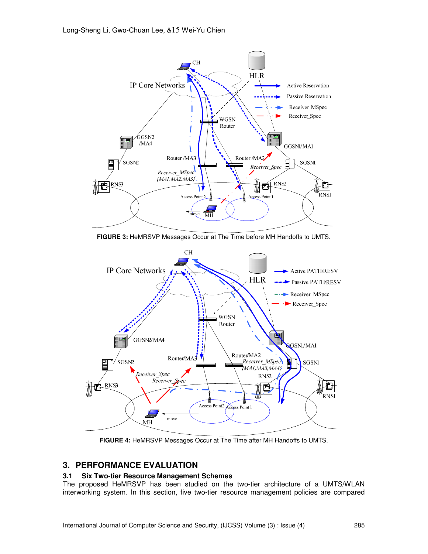

**FIGURE 3:** HeMRSVP Messages Occur at The Time before MH Handoffs to UMTS.



**FIGURE 4:** HeMRSVP Messages Occur at The Time after MH Handoffs to UMTS.

## **3. PERFORMANCE EVALUATION**

## **3.1 Six Two-tier Resource Management Schemes**

The proposed HeMRSVP has been studied on the two-tier architecture of a UMTS/WLAN interworking system. In this section, five two-tier resource management policies are compared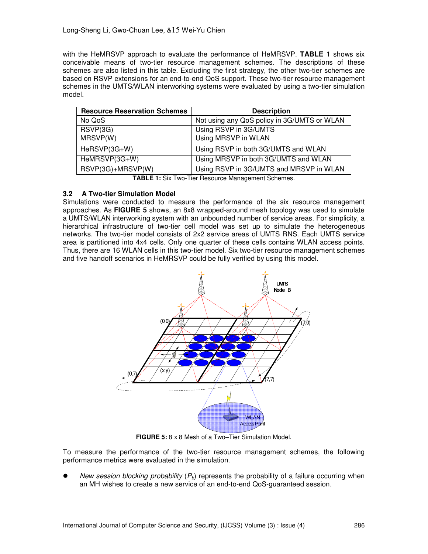with the HeMRSVP approach to evaluate the performance of HeMRSVP. **TABLE 1** shows six conceivable means of two-tier resource management schemes. The descriptions of these schemes are also listed in this table. Excluding the first strategy, the other two-tier schemes are based on RSVP extensions for an end-to-end QoS support. These two-tier resource management schemes in the UMTS/WLAN interworking systems were evaluated by using a two-tier simulation model.

| <b>Resource Reservation Schemes</b> | <b>Description</b>                          |
|-------------------------------------|---------------------------------------------|
| No QoS                              | Not using any QoS policy in 3G/UMTS or WLAN |
| RSVP(3G)                            | Using RSVP in 3G/UMTS                       |
| MRSVP(W)                            | Using MRSVP in WLAN                         |
| HeRSVP(3G+W)                        | Using RSVP in both 3G/UMTS and WLAN         |
| HeMRSVP(3G+W)                       | Using MRSVP in both 3G/UMTS and WLAN        |
| RSVP(3G)+MRSVP(W)                   | Using RSVP in 3G/UMTS and MRSVP in WLAN     |
|                                     |                                             |

**TABLE 1:** Six Two-Tier Resource Management Schemes.

## **3.2 A Two-tier Simulation Model**

Simulations were conducted to measure the performance of the six resource management approaches. As **FIGURE 5** shows, an 8x8 wrapped-around mesh topology was used to simulate a UMTS/WLAN interworking system with an unbounded number of service areas. For simplicity, a hierarchical infrastructure of two-tier cell model was set up to simulate the heterogeneous networks. The two-tier model consists of 2x2 service areas of UMTS RNS. Each UMTS service area is partitioned into 4x4 cells. Only one quarter of these cells contains WLAN access points. Thus, there are 16 WLAN cells in this two-tier model. Six two-tier resource management schemes and five handoff scenarios in HeMRSVP could be fully verified by using this model.



**FIGURE 5:** 8 x 8 Mesh of a Two–Tier Simulation Model.

To measure the performance of the two-tier resource management schemes, the following performance metrics were evaluated in the simulation.

New session blocking probability  $(P_b)$  represents the probability of a failure occurring when an MH wishes to create a new service of an end-to-end QoS-guaranteed session.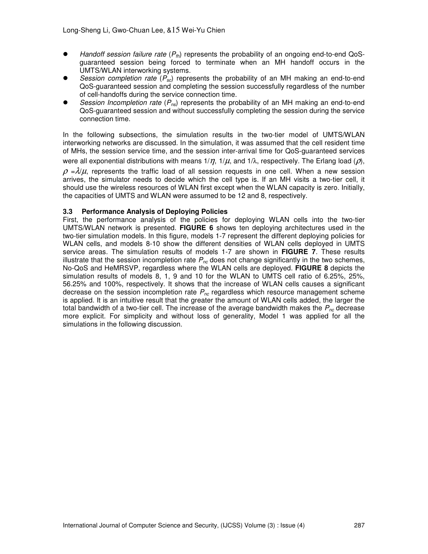- $\bullet$  Handoff session failure rate  $(P_{th})$  represents the probability of an ongoing end-to-end QoSguaranteed session being forced to terminate when an MH handoff occurs in the UMTS/WLAN interworking systems.
- Session completion rate  $(P_{sc})$  represents the probability of an MH making an end-to-end QoS-guaranteed session and completing the session successfully regardless of the number of cell-handoffs during the service connection time.
- Session Incompletion rate ( $P_{ns}$ ) represents the probability of an MH making an end-to-end QoS-guaranteed session and without successfully completing the session during the service connection time.

In the following subsections, the simulation results in the two-tier model of UMTS/WLAN interworking networks are discussed. In the simulation, it was assumed that the cell resident time of MHs, the session service time, and the session inter-arrival time for QoS-guaranteed services

were all exponential distributions with means  $1/\eta$ ,  $1/\mu$ , and  $1/\lambda$ , respectively. The Erlang load ( $\rho$ ),

 $\rho = \lambda/\mu$ , represents the traffic load of all session requests in one cell. When a new session arrives, the simulator needs to decide which the cell type is. If an MH visits a two-tier cell, it should use the wireless resources of WLAN first except when the WLAN capacity is zero. Initially, the capacities of UMTS and WLAN were assumed to be 12 and 8, respectively.

## **3.3 Performance Analysis of Deploying Policies**

First, the performance analysis of the policies for deploying WLAN cells into the two-tier UMTS/WLAN network is presented. **FIGURE 6** shows ten deploying architectures used in the two-tier simulation models. In this figure, models 1-7 represent the different deploying policies for WLAN cells, and models 8-10 show the different densities of WLAN cells deployed in UMTS service areas. The simulation results of models 1-7 are shown in **FIGURE 7**. These results illustrate that the session incompletion rate  $P_{nc}$  does not change significantly in the two schemes, No-QoS and HeMRSVP, regardless where the WLAN cells are deployed. **FIGURE 8** depicts the simulation results of models 8, 1, 9 and 10 for the WLAN to UMTS cell ratio of 6.25%, 25%, 56.25% and 100%, respectively. It shows that the increase of WLAN cells causes a significant decrease on the session incompletion rate  $P_{nc}$  regardless which resource management scheme is applied. It is an intuitive result that the greater the amount of WLAN cells added, the larger the total bandwidth of a two-tier cell. The increase of the average bandwidth makes the  $P_{nc}$  decrease more explicit. For simplicity and without loss of generality, Model 1 was applied for all the simulations in the following discussion.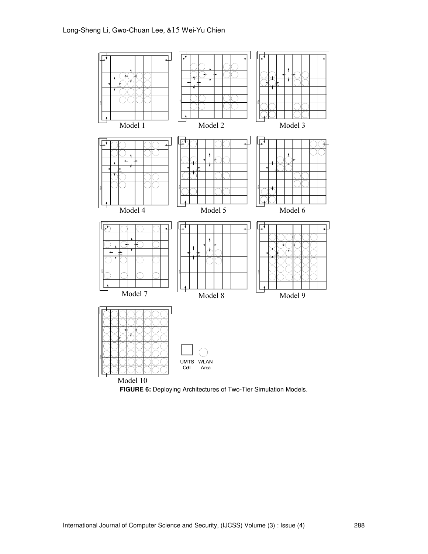

**FIGURE 6:** Deploying Architectures of Two-Tier Simulation Models.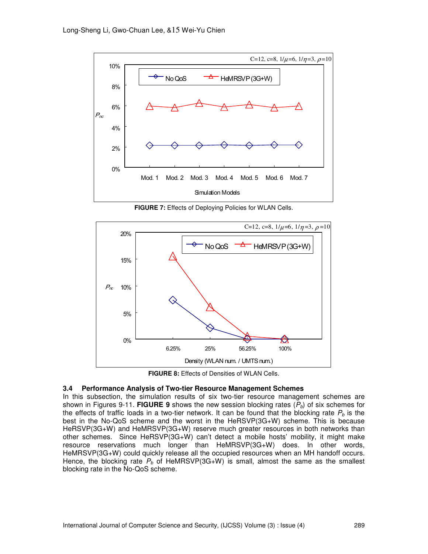

**FIGURE 7:** Effects of Deploying Policies for WLAN Cells.



**FIGURE 8:** Effects of Densities of WLAN Cells.

## **3.4 Performance Analysis of Two-tier Resource Management Schemes**

In this subsection, the simulation results of six two-tier resource management schemes are shown in Figures 9-11. **FIGURE 9** shows the new session blocking rates  $(P_b)$  of six schemes for the effects of traffic loads in a two-tier network. It can be found that the blocking rate  $P_b$  is the best in the No-QoS scheme and the worst in the HeRSVP(3G+W) scheme. This is because HeRSVP(3G+W) and HeMRSVP(3G+W) reserve much greater resources in both networks than other schemes. Since HeRSVP(3G+W) can't detect a mobile hosts' mobility, it might make resource reservations much longer than HeMRSVP(3G+W) does. In other words, HeMRSVP(3G+W) could quickly release all the occupied resources when an MH handoff occurs. Hence, the blocking rate  $P_b$  of HeMRSVP(3G+W) is small, almost the same as the smallest blocking rate in the No-QoS scheme.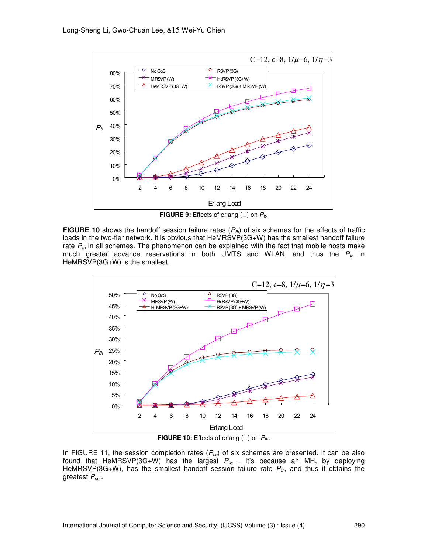

**FIGURE 9:** Effects of erlang () on  $P_b$ .

**FIGURE 10** shows the handoff session failure rates  $(P_{th})$  of six schemes for the effects of traffic loads in the two-tier network. It is obvious that HeMRSVP(3G+W) has the smallest handoff failure rate  $P_{th}$  in all schemes. The phenomenon can be explained with the fact that mobile hosts make much greater advance reservations in both UMTS and WLAN, and thus the  $P_{\text{fh}}$  in HeMRSVP(3G+W) is the smallest.



**FIGURE 10:** Effects of erlang () on  $P_{th}$ .

In FIGURE 11, the session completion rates  $(P_{sc})$  of six schemes are presented. It can be also found that HeMRSVP(3G+W) has the largest  $P_{sc}$  . It's because an MH, by deploying HeMRSVP(3G+W), has the smallest handoff session failure rate  $P_{\text{fh}}$ , and thus it obtains the greatest  $P_{sc}$ .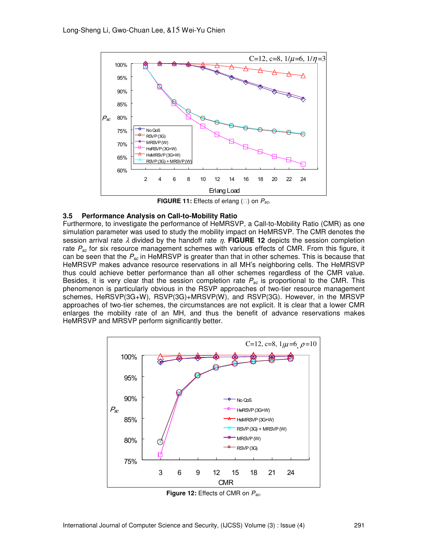

**FIGURE 11:** Effects of erlang () on  $P_{sc}$ .

### **3.5 Performance Analysis on Call-to-Mobility Ratio**

Furthermore, to investigate the performance of HeMRSVP, a Call-to-Mobility Ratio (CMR) as one simulation parameter was used to study the mobility impact on HeMRSVP. The CMR denotes the session arrival rate  $\lambda$  divided by the handoff rate  $\eta$ . **FIGURE 12** depicts the session completion rate  $P_{sc}$  for six resource management schemes with various effects of CMR. From this figure, it can be seen that the  $P_{sc}$  in HeMRSVP is greater than that in other schemes. This is because that HeMRSVP makes advance resource reservations in all MH's neighboring cells. The HeMRSVP thus could achieve better performance than all other schemes regardless of the CMR value. Besides, it is very clear that the session completion rate  $P_{sc}$  is proportional to the CMR. This phenomenon is particularly obvious in the RSVP approaches of two-tier resource management schemes, HeRSVP(3G+W), RSVP(3G)+MRSVP(W), and RSVP(3G). However, in the MRSVP approaches of two-tier schemes, the circumstances are not explicit. It is clear that a lower CMR enlarges the mobility rate of an MH, and thus the benefit of advance reservations makes HeMRSVP and MRSVP perform significantly better.



**Figure 12:** Effects of CMR on  $P_{sc}$ .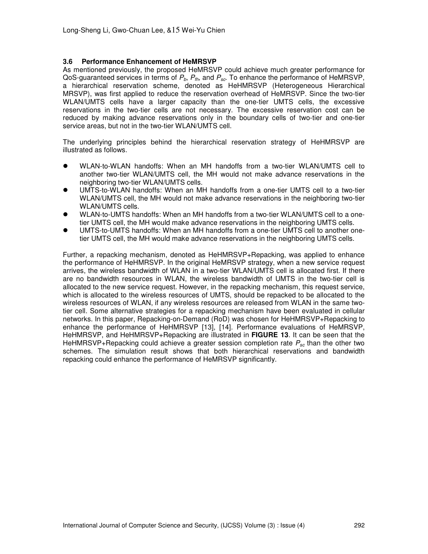## **3.6 Performance Enhancement of HeMRSVP**

As mentioned previously, the proposed HeMRSVP could achieve much greater performance for QoS-guaranteed services in terms of  $P_b$ ,  $P_{th}$ , and  $P_{sc}$ . To enhance the performance of HeMRSVP, a hierarchical reservation scheme, denoted as HeHMRSVP (Heterogeneous Hierarchical MRSVP), was first applied to reduce the reservation overhead of HeMRSVP. Since the two-tier WLAN/UMTS cells have a larger capacity than the one-tier UMTS cells, the excessive reservations in the two-tier cells are not necessary. The excessive reservation cost can be reduced by making advance reservations only in the boundary cells of two-tier and one-tier service areas, but not in the two-tier WLAN/UMTS cell.

The underlying principles behind the hierarchical reservation strategy of HeHMRSVP are illustrated as follows.

- WLAN-to-WLAN handoffs: When an MH handoffs from a two-tier WLAN/UMTS cell to another two-tier WLAN/UMTS cell, the MH would not make advance reservations in the neighboring two-tier WLAN/UMTS cells.
- UMTS-to-WLAN handoffs: When an MH handoffs from a one-tier UMTS cell to a two-tier WLAN/UMTS cell, the MH would not make advance reservations in the neighboring two-tier WLAN/UMTS cells.
- WLAN-to-UMTS handoffs: When an MH handoffs from a two-tier WLAN/UMTS cell to a onetier UMTS cell, the MH would make advance reservations in the neighboring UMTS cells.
- UMTS-to-UMTS handoffs: When an MH handoffs from a one-tier UMTS cell to another onetier UMTS cell, the MH would make advance reservations in the neighboring UMTS cells.

Further, a repacking mechanism, denoted as HeHMRSVP+Repacking, was applied to enhance the performance of HeHMRSVP. In the original HeMRSVP strategy, when a new service request arrives, the wireless bandwidth of WLAN in a two-tier WLAN/UMTS cell is allocated first. If there are no bandwidth resources in WLAN, the wireless bandwidth of UMTS in the two-tier cell is allocated to the new service request. However, in the repacking mechanism, this request service, which is allocated to the wireless resources of UMTS, should be repacked to be allocated to the wireless resources of WLAN, if any wireless resources are released from WLAN in the same twotier cell. Some alternative strategies for a repacking mechanism have been evaluated in cellular networks. In this paper, Repacking-on-Demand (RoD) was chosen for HeHMRSVP+Repacking to enhance the performance of HeHMRSVP [13], [14]. Performance evaluations of HeMRSVP, HeHMRSVP, and HeHMRSVP+Repacking are illustrated in **FIGURE 13**. It can be seen that the HeHMRSVP+Repacking could achieve a greater session completion rate  $P_{sc}$  than the other two schemes. The simulation result shows that both hierarchical reservations and bandwidth repacking could enhance the performance of HeMRSVP significantly.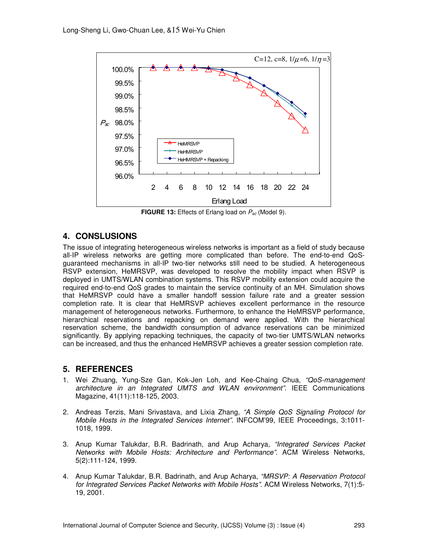

**FIGURE 13:** Effects of Erlang load on  $P_{sc}$  (Model 9).

# **4. CONSLUSIONS**

The issue of integrating heterogeneous wireless networks is important as a field of study because all-IP wireless networks are getting more complicated than before. The end-to-end QoSguaranteed mechanisms in all-IP two-tier networks still need to be studied. A heterogeneous RSVP extension, HeMRSVP, was developed to resolve the mobility impact when RSVP is deployed in UMTS/WLAN combination systems. This RSVP mobility extension could acquire the required end-to-end QoS grades to maintain the service continuity of an MH. Simulation shows that HeMRSVP could have a smaller handoff session failure rate and a greater session completion rate. It is clear that HeMRSVP achieves excellent performance in the resource management of heterogeneous networks. Furthermore, to enhance the HeMRSVP performance, hierarchical reservations and repacking on demand were applied. With the hierarchical reservation scheme, the bandwidth consumption of advance reservations can be minimized significantly. By applying repacking techniques, the capacity of two-tier UMTS/WLAN networks can be increased, and thus the enhanced HeMRSVP achieves a greater session completion rate.

# **5. REFERENCES**

- 1. Wei Zhuang, Yung-Sze Gan, Kok-Jen Loh, and Kee-Chaing Chua, "QoS-management architecture in an Integrated UMTS and WLAN environment". IEEE Communications Magazine, 41(11):118-125, 2003.
- 2. Andreas Terzis, Mani Srivastava, and Lixia Zhang, "A Simple QoS Signaling Protocol for Mobile Hosts in the Integrated Services Internet". INFCOM'99, IEEE Proceedings, 3:1011- 1018, 1999.
- 3. Anup Kumar Talukdar, B.R. Badrinath, and Arup Acharya, "Integrated Services Packet Networks with Mobile Hosts: Architecture and Performance". ACM Wireless Networks, 5(2):111-124, 1999.
- 4. Anup Kumar Talukdar, B.R. Badrinath, and Arup Acharya, "MRSVP: A Reservation Protocol for Integrated Services Packet Networks with Mobile Hosts". ACM Wireless Networks, 7(1):5- 19, 2001.